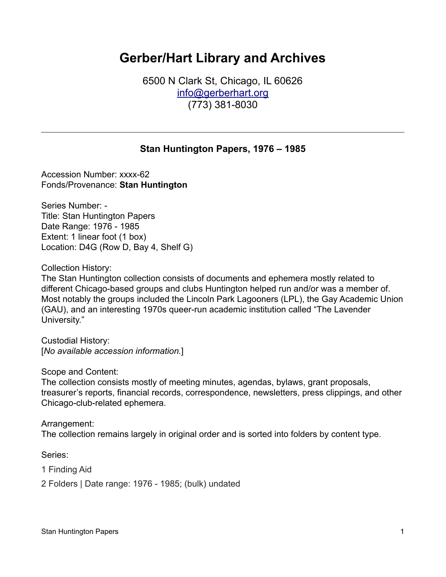# **Gerber/Hart Library and Archives**

6500 N Clark St, Chicago, IL 60626 [info@gerberhart.org](mailto:info@gerberhart.org) (773) 381-8030

#### **Stan Huntington Papers, 1976 – 1985**

Accession Number: xxxx-62 Fonds/Provenance: **Stan Huntington**

Series Number: - Title: Stan Huntington Papers Date Range: 1976 - 1985 Extent: 1 linear foot (1 box) Location: D4G (Row D, Bay 4, Shelf G)

Collection History:

The Stan Huntington collection consists of documents and ephemera mostly related to different Chicago-based groups and clubs Huntington helped run and/or was a member of. Most notably the groups included the Lincoln Park Lagooners (LPL), the Gay Academic Union (GAU), and an interesting 1970s queer-run academic institution called "The Lavender University."

Custodial History: [*No available accession information.*]

Scope and Content:

The collection consists mostly of meeting minutes, agendas, bylaws, grant proposals, treasurer's reports, financial records, correspondence, newsletters, press clippings, and other Chicago-club-related ephemera.

Arrangement: The collection remains largely in original order and is sorted into folders by content type.

Series:

- 1 Finding Aid
- 2 Folders | Date range: 1976 1985; (bulk) undated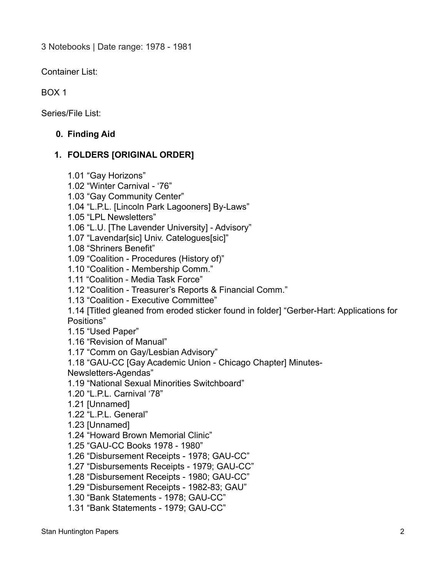3 Notebooks | Date range: 1978 - 1981

Container List:

BOX 1

Series/File List:

### **0. Finding Aid**

## **1. FOLDERS [ORIGINAL ORDER]**

- 1.01 "Gay Horizons"
- 1.02 "Winter Carnival '76"
- 1.03 "Gay Community Center"
- 1.04 "L.P.L. [Lincoln Park Lagooners] By-Laws"
- 1.05 "LPL Newsletters"
- 1.06 "L.U. [The Lavender University] Advisory"
- 1.07 "Lavendar[sic] Univ. Catelogues[sic]"
- 1.08 "Shriners Benefit"
- 1.09 "Coalition Procedures (History of)"
- 1.10 "Coalition Membership Comm."
- 1.11 "Coalition Media Task Force"
- 1.12 "Coalition Treasurer's Reports & Financial Comm."
- 1.13 "Coalition Executive Committee"

1.14 [Titled gleaned from eroded sticker found in folder] "Gerber-Hart: Applications for Positions"

- 1.15 "Used Paper"
- 1.16 "Revision of Manual"
- 1.17 "Comm on Gay/Lesbian Advisory"
- 1.18 "GAU-CC [Gay Academic Union Chicago Chapter] Minutes-

Newsletters-Agendas"

- 1.19 "National Sexual Minorities Switchboard"
- 1.20 "L.P.L. Carnival '78"
- 1.21 [Unnamed]
- 1.22 "L.P.L. General"
- 1.23 [Unnamed]
- 1.24 "Howard Brown Memorial Clinic"
- 1.25 "GAU-CC Books 1978 1980"
- 1.26 "Disbursement Receipts 1978; GAU-CC"
- 1.27 "Disbursements Receipts 1979; GAU-CC"
- 1.28 "Disbursement Receipts 1980; GAU-CC"
- 1.29 "Disbursement Receipts 1982-83; GAU"
- 1.30 "Bank Statements 1978; GAU-CC"
- 1.31 "Bank Statements 1979; GAU-CC"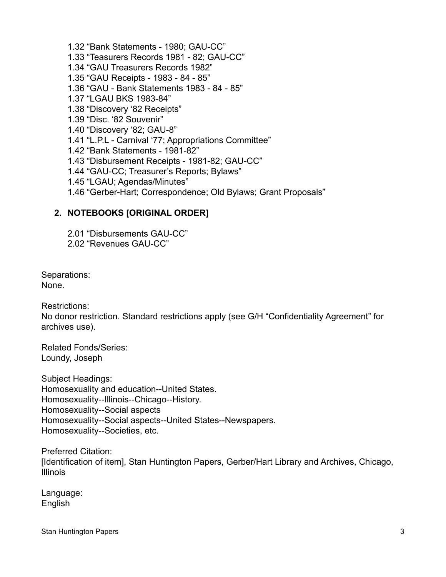- 1.32 "Bank Statements 1980; GAU-CC"
- 1.33 "Teasurers Records 1981 82; GAU-CC"
- 1.34 "GAU Treasurers Records 1982"
- 1.35 "GAU Receipts 1983 84 85"
- 1.36 "GAU Bank Statements 1983 84 85"
- 1.37 "LGAU BKS 1983-84"
- 1.38 "Discovery '82 Receipts"
- 1.39 "Disc. '82 Souvenir"
- 1.40 "Discovery '82; GAU-8"
- 1.41 "L.P.L Carnival '77; Appropriations Committee"
- 1.42 "Bank Statements 1981-82"
- 1.43 "Disbursement Receipts 1981-82; GAU-CC"
- 1.44 "GAU-CC; Treasurer's Reports; Bylaws"
- 1.45 "LGAU; Agendas/Minutes"
- 1.46 "Gerber-Hart; Correspondence; Old Bylaws; Grant Proposals"

#### **2. NOTEBOOKS [ORIGINAL ORDER]**

- 2.01 "Disbursements GAU-CC"
- 2.02 "Revenues GAU-CC"

Separations: None.

Restrictions:

No donor restriction. Standard restrictions apply (see G/H "Confidentiality Agreement" for archives use).

Related Fonds/Series: Loundy, Joseph

Subject Headings: Homosexuality and education--United States. Homosexuality--Illinois--Chicago--History. Homosexuality--Social aspects Homosexuality--Social aspects--United States--Newspapers. Homosexuality--Societies, etc.

Preferred Citation: [Identification of item], Stan Huntington Papers, Gerber/Hart Library and Archives, Chicago, Illinois

Language: English